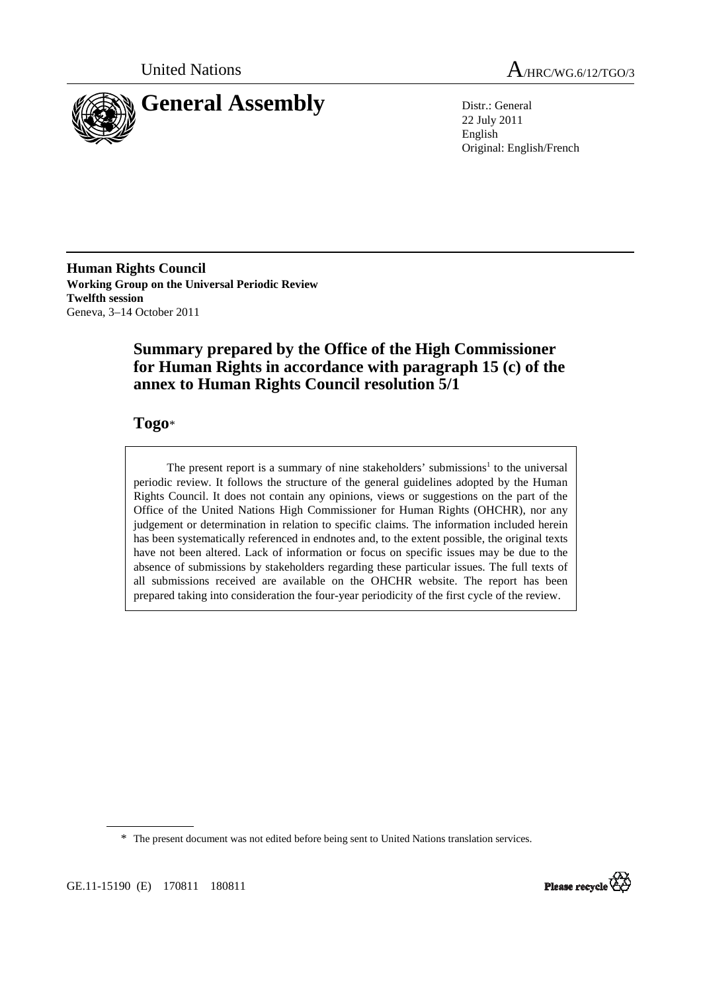



22 July 2011 English Original: English/French

**Human Rights Council Working Group on the Universal Periodic Review Twelfth session**  Geneva, 3–14 October 2011

## **Summary prepared by the Office of the High Commissioner for Human Rights in accordance with paragraph 15 (c) of the annex to Human Rights Council resolution 5/1**

## **Togo**\*

The present report is a summary of nine stakeholders' submissions<sup>1</sup> to the universal periodic review. It follows the structure of the general guidelines adopted by the Human Rights Council. It does not contain any opinions, views or suggestions on the part of the Office of the United Nations High Commissioner for Human Rights (OHCHR), nor any judgement or determination in relation to specific claims. The information included herein has been systematically referenced in endnotes and, to the extent possible, the original texts have not been altered. Lack of information or focus on specific issues may be due to the absence of submissions by stakeholders regarding these particular issues. The full texts of all submissions received are available on the OHCHR website. The report has been prepared taking into consideration the four-year periodicity of the first cycle of the review.

\* The present document was not edited before being sent to United Nations translation services.

GE.11-15190 (E) 170811 180811

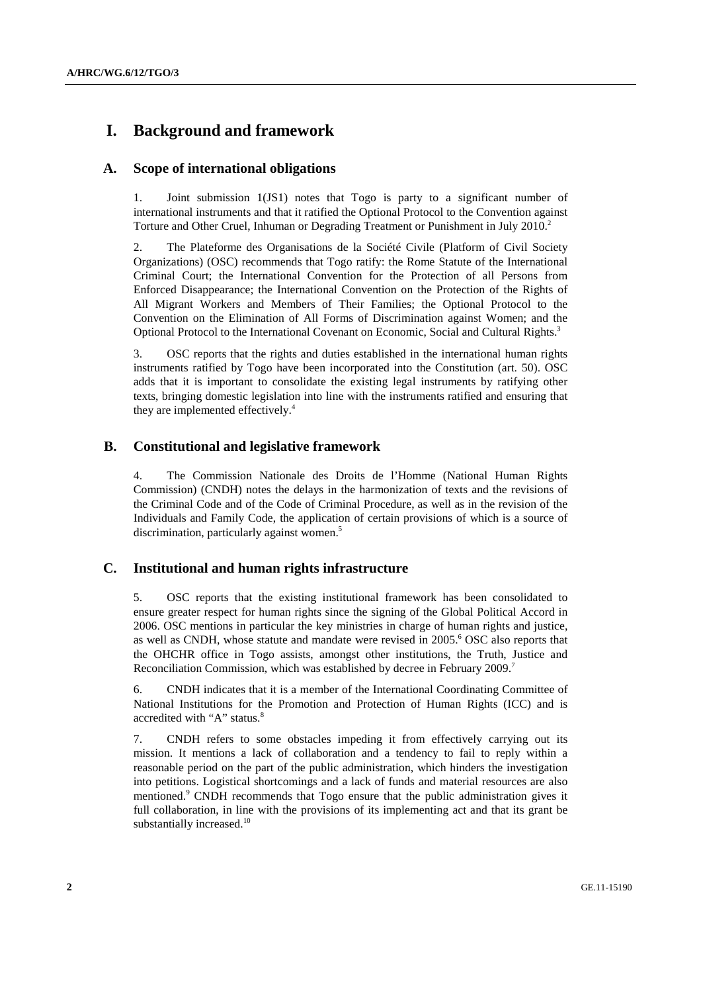## **I. Background and framework**

### **A. Scope of international obligations**

1. Joint submission 1(JS1) notes that Togo is party to a significant number of international instruments and that it ratified the Optional Protocol to the Convention against Torture and Other Cruel, Inhuman or Degrading Treatment or Punishment in July 2010.<sup>2</sup>

2. The Plateforme des Organisations de la Société Civile (Platform of Civil Society Organizations) (OSC) recommends that Togo ratify: the Rome Statute of the International Criminal Court; the International Convention for the Protection of all Persons from Enforced Disappearance; the International Convention on the Protection of the Rights of All Migrant Workers and Members of Their Families; the Optional Protocol to the Convention on the Elimination of All Forms of Discrimination against Women; and the Optional Protocol to the International Covenant on Economic, Social and Cultural Rights.<sup>3</sup>

3. OSC reports that the rights and duties established in the international human rights instruments ratified by Togo have been incorporated into the Constitution (art. 50). OSC adds that it is important to consolidate the existing legal instruments by ratifying other texts, bringing domestic legislation into line with the instruments ratified and ensuring that they are implemented effectively.<sup>4</sup>

### **B. Constitutional and legislative framework**

4. The Commission Nationale des Droits de l'Homme (National Human Rights Commission) (CNDH) notes the delays in the harmonization of texts and the revisions of the Criminal Code and of the Code of Criminal Procedure, as well as in the revision of the Individuals and Family Code, the application of certain provisions of which is a source of discrimination, particularly against women.<sup>5</sup>

### **C. Institutional and human rights infrastructure**

5. OSC reports that the existing institutional framework has been consolidated to ensure greater respect for human rights since the signing of the Global Political Accord in 2006. OSC mentions in particular the key ministries in charge of human rights and justice, as well as CNDH, whose statute and mandate were revised in 2005.<sup>6</sup> OSC also reports that the OHCHR office in Togo assists, amongst other institutions, the Truth, Justice and Reconciliation Commission, which was established by decree in February 2009.<sup>7</sup>

6. CNDH indicates that it is a member of the International Coordinating Committee of National Institutions for the Promotion and Protection of Human Rights (ICC) and is accredited with "A" status.<sup>8</sup>

7. CNDH refers to some obstacles impeding it from effectively carrying out its mission. It mentions a lack of collaboration and a tendency to fail to reply within a reasonable period on the part of the public administration, which hinders the investigation into petitions. Logistical shortcomings and a lack of funds and material resources are also mentioned.<sup>9</sup> CNDH recommends that Togo ensure that the public administration gives it full collaboration, in line with the provisions of its implementing act and that its grant be substantially increased. $10$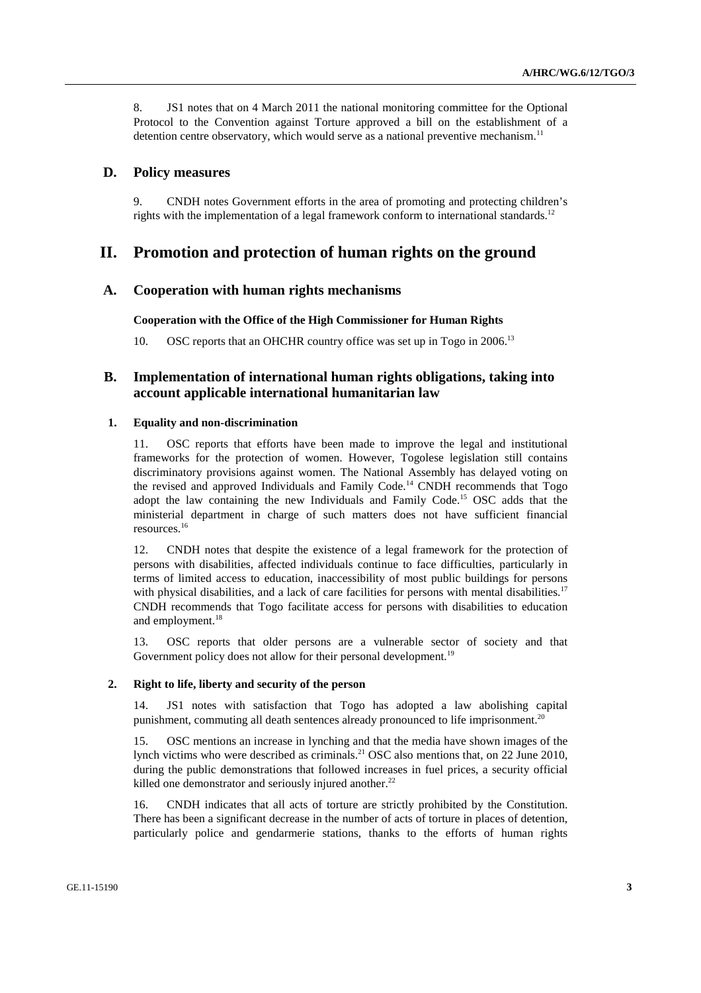8. JS1 notes that on 4 March 2011 the national monitoring committee for the Optional Protocol to the Convention against Torture approved a bill on the establishment of a detention centre observatory, which would serve as a national preventive mechanism.<sup>11</sup>

#### **D. Policy measures**

9. CNDH notes Government efforts in the area of promoting and protecting children's rights with the implementation of a legal framework conform to international standards.<sup>12</sup>

## **II. Promotion and protection of human rights on the ground**

#### **A. Cooperation with human rights mechanisms**

#### **Cooperation with the Office of the High Commissioner for Human Rights**

10. OSC reports that an OHCHR country office was set up in Togo in 2006.<sup>13</sup>

### **B. Implementation of international human rights obligations, taking into account applicable international humanitarian law**

#### **1. Equality and non-discrimination**

11. OSC reports that efforts have been made to improve the legal and institutional frameworks for the protection of women. However, Togolese legislation still contains discriminatory provisions against women. The National Assembly has delayed voting on the revised and approved Individuals and Family Code.<sup>14</sup> CNDH recommends that Togo adopt the law containing the new Individuals and Family Code.<sup>15</sup> OSC adds that the ministerial department in charge of such matters does not have sufficient financial resources.<sup>16</sup>

12. CNDH notes that despite the existence of a legal framework for the protection of persons with disabilities, affected individuals continue to face difficulties, particularly in terms of limited access to education, inaccessibility of most public buildings for persons with physical disabilities, and a lack of care facilities for persons with mental disabilities.<sup>17</sup> CNDH recommends that Togo facilitate access for persons with disabilities to education and employment.<sup>18</sup>

13. OSC reports that older persons are a vulnerable sector of society and that Government policy does not allow for their personal development.<sup>19</sup>

#### **2. Right to life, liberty and security of the person**

14. JS1 notes with satisfaction that Togo has adopted a law abolishing capital punishment, commuting all death sentences already pronounced to life imprisonment.<sup>20</sup>

15. OSC mentions an increase in lynching and that the media have shown images of the lynch victims who were described as criminals.<sup>21</sup> OSC also mentions that, on 22 June 2010, during the public demonstrations that followed increases in fuel prices, a security official killed one demonstrator and seriously injured another. $^{22}$ 

16. CNDH indicates that all acts of torture are strictly prohibited by the Constitution. There has been a significant decrease in the number of acts of torture in places of detention, particularly police and gendarmerie stations, thanks to the efforts of human rights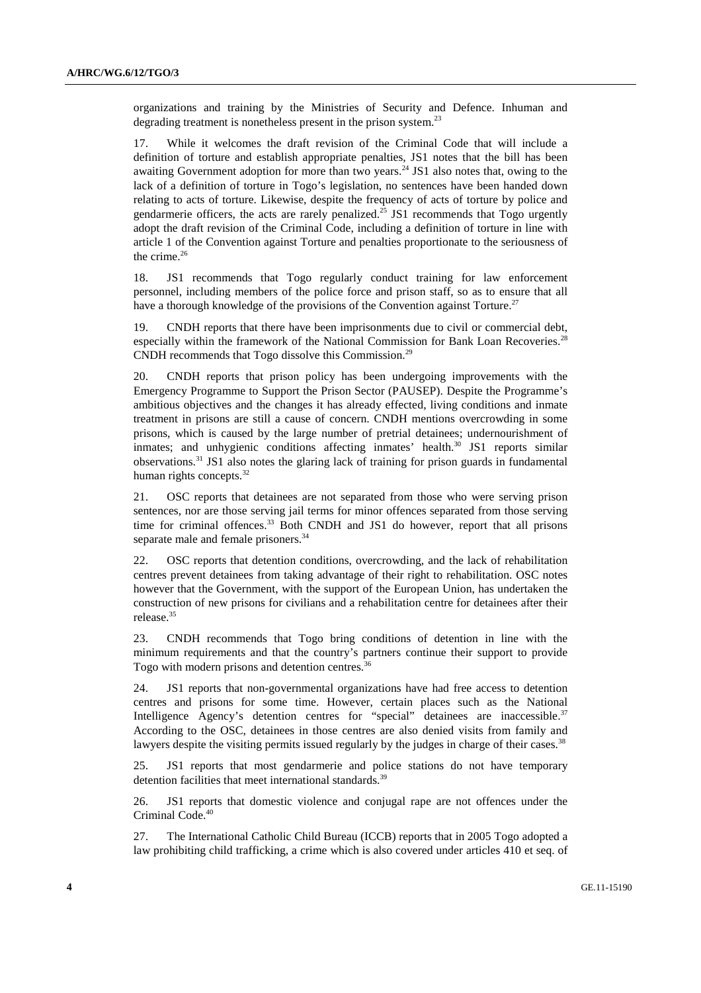organizations and training by the Ministries of Security and Defence. Inhuman and degrading treatment is nonetheless present in the prison system.<sup>23</sup>

17. While it welcomes the draft revision of the Criminal Code that will include a definition of torture and establish appropriate penalties, JS1 notes that the bill has been awaiting Government adoption for more than two years.<sup>24</sup> JS1 also notes that, owing to the lack of a definition of torture in Togo's legislation, no sentences have been handed down relating to acts of torture. Likewise, despite the frequency of acts of torture by police and gendarmerie officers, the acts are rarely penalized.<sup>25</sup> JS1 recommends that Togo urgently adopt the draft revision of the Criminal Code, including a definition of torture in line with article 1 of the Convention against Torture and penalties proportionate to the seriousness of the crime. $26$ 

18. JS1 recommends that Togo regularly conduct training for law enforcement personnel, including members of the police force and prison staff, so as to ensure that all have a thorough knowledge of the provisions of the Convention against Torture.<sup>27</sup>

19. CNDH reports that there have been imprisonments due to civil or commercial debt, especially within the framework of the National Commission for Bank Loan Recoveries.<sup>28</sup> CNDH recommends that Togo dissolve this Commission.<sup>29</sup>

20. CNDH reports that prison policy has been undergoing improvements with the Emergency Programme to Support the Prison Sector (PAUSEP). Despite the Programme's ambitious objectives and the changes it has already effected, living conditions and inmate treatment in prisons are still a cause of concern. CNDH mentions overcrowding in some prisons, which is caused by the large number of pretrial detainees; undernourishment of inmates; and unhygienic conditions affecting inmates' health.<sup>30</sup> JS1 reports similar observations.<sup>31</sup> JS1 also notes the glaring lack of training for prison guards in fundamental human rights concepts.<sup>32</sup>

21. OSC reports that detainees are not separated from those who were serving prison sentences, nor are those serving jail terms for minor offences separated from those serving time for criminal offences.<sup>33</sup> Both CNDH and JS1 do however, report that all prisons separate male and female prisoners.<sup>34</sup>

22. OSC reports that detention conditions, overcrowding, and the lack of rehabilitation centres prevent detainees from taking advantage of their right to rehabilitation. OSC notes however that the Government, with the support of the European Union, has undertaken the construction of new prisons for civilians and a rehabilitation centre for detainees after their release.<sup>35</sup>

23. CNDH recommends that Togo bring conditions of detention in line with the minimum requirements and that the country's partners continue their support to provide Togo with modern prisons and detention centres.<sup>36</sup>

24. JS1 reports that non-governmental organizations have had free access to detention centres and prisons for some time. However, certain places such as the National Intelligence Agency's detention centres for "special" detainees are inaccessible.<sup>37</sup> According to the OSC, detainees in those centres are also denied visits from family and lawyers despite the visiting permits issued regularly by the judges in charge of their cases.<sup>38</sup>

25. JS1 reports that most gendarmerie and police stations do not have temporary detention facilities that meet international standards.<sup>39</sup>

26. JS1 reports that domestic violence and conjugal rape are not offences under the Criminal Code.<sup>40</sup>

27. The International Catholic Child Bureau (ICCB) reports that in 2005 Togo adopted a law prohibiting child trafficking, a crime which is also covered under articles 410 et seq. of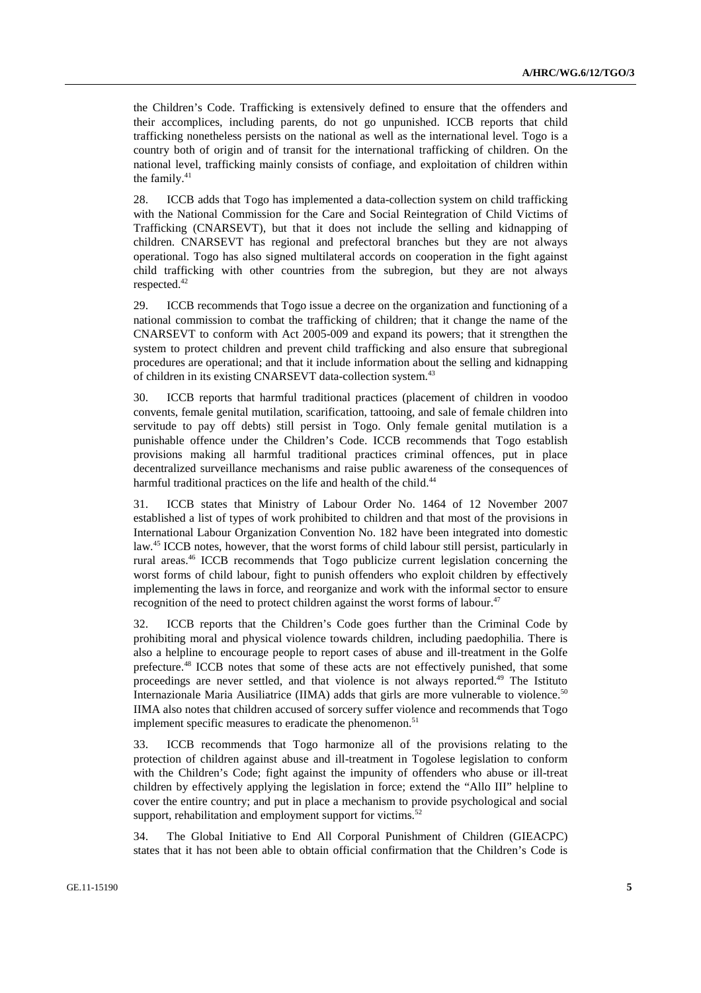the Children's Code. Trafficking is extensively defined to ensure that the offenders and their accomplices, including parents, do not go unpunished. ICCB reports that child trafficking nonetheless persists on the national as well as the international level. Togo is a country both of origin and of transit for the international trafficking of children. On the national level, trafficking mainly consists of confiage, and exploitation of children within the family. $41$ 

28. ICCB adds that Togo has implemented a data-collection system on child trafficking with the National Commission for the Care and Social Reintegration of Child Victims of Trafficking (CNARSEVT), but that it does not include the selling and kidnapping of children. CNARSEVT has regional and prefectoral branches but they are not always operational. Togo has also signed multilateral accords on cooperation in the fight against child trafficking with other countries from the subregion, but they are not always respected.<sup>42</sup>

29. ICCB recommends that Togo issue a decree on the organization and functioning of a national commission to combat the trafficking of children; that it change the name of the CNARSEVT to conform with Act 2005-009 and expand its powers; that it strengthen the system to protect children and prevent child trafficking and also ensure that subregional procedures are operational; and that it include information about the selling and kidnapping of children in its existing CNARSEVT data-collection system.<sup>43</sup>

30. ICCB reports that harmful traditional practices (placement of children in voodoo convents, female genital mutilation, scarification, tattooing, and sale of female children into servitude to pay off debts) still persist in Togo. Only female genital mutilation is a punishable offence under the Children's Code. ICCB recommends that Togo establish provisions making all harmful traditional practices criminal offences, put in place decentralized surveillance mechanisms and raise public awareness of the consequences of harmful traditional practices on the life and health of the child.<sup>44</sup>

31. ICCB states that Ministry of Labour Order No. 1464 of 12 November 2007 established a list of types of work prohibited to children and that most of the provisions in International Labour Organization Convention No. 182 have been integrated into domestic law.<sup>45</sup> ICCB notes, however, that the worst forms of child labour still persist, particularly in rural areas.<sup>46</sup> ICCB recommends that Togo publicize current legislation concerning the worst forms of child labour, fight to punish offenders who exploit children by effectively implementing the laws in force, and reorganize and work with the informal sector to ensure recognition of the need to protect children against the worst forms of labour.<sup>47</sup>

32. ICCB reports that the Children's Code goes further than the Criminal Code by prohibiting moral and physical violence towards children, including paedophilia. There is also a helpline to encourage people to report cases of abuse and ill-treatment in the Golfe prefecture.<sup>48</sup> ICCB notes that some of these acts are not effectively punished, that some proceedings are never settled, and that violence is not always reported.<sup>49</sup> The Istituto Internazionale Maria Ausiliatrice (IIMA) adds that girls are more vulnerable to violence.<sup>50</sup> IIMA also notes that children accused of sorcery suffer violence and recommends that Togo implement specific measures to eradicate the phenomenon.<sup>51</sup>

33. ICCB recommends that Togo harmonize all of the provisions relating to the protection of children against abuse and ill-treatment in Togolese legislation to conform with the Children's Code; fight against the impunity of offenders who abuse or ill-treat children by effectively applying the legislation in force; extend the "Allo III" helpline to cover the entire country; and put in place a mechanism to provide psychological and social support, rehabilitation and employment support for victims.<sup>52</sup>

34. The Global Initiative to End All Corporal Punishment of Children (GIEACPC) states that it has not been able to obtain official confirmation that the Children's Code is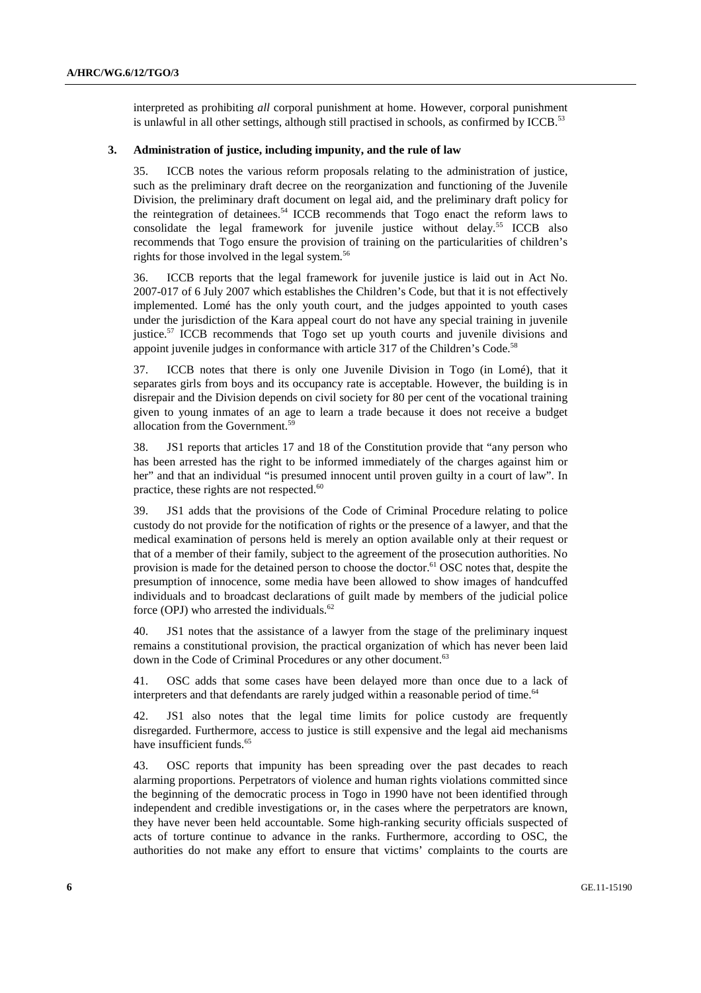interpreted as prohibiting *all* corporal punishment at home. However, corporal punishment is unlawful in all other settings, although still practised in schools, as confirmed by ICCB.<sup>53</sup>

#### **3. Administration of justice, including impunity, and the rule of law**

35. ICCB notes the various reform proposals relating to the administration of justice, such as the preliminary draft decree on the reorganization and functioning of the Juvenile Division, the preliminary draft document on legal aid, and the preliminary draft policy for the reintegration of detainees.<sup>54</sup> ICCB recommends that Togo enact the reform laws to consolidate the legal framework for juvenile justice without delay.<sup>55</sup> ICCB also recommends that Togo ensure the provision of training on the particularities of children's rights for those involved in the legal system.<sup>56</sup>

36. ICCB reports that the legal framework for juvenile justice is laid out in Act No. 2007-017 of 6 July 2007 which establishes the Children's Code, but that it is not effectively implemented. Lomé has the only youth court, and the judges appointed to youth cases under the jurisdiction of the Kara appeal court do not have any special training in juvenile justice.<sup>57</sup> ICCB recommends that Togo set up youth courts and juvenile divisions and appoint juvenile judges in conformance with article 317 of the Children's Code.<sup>58</sup>

37. ICCB notes that there is only one Juvenile Division in Togo (in Lomé), that it separates girls from boys and its occupancy rate is acceptable. However, the building is in disrepair and the Division depends on civil society for 80 per cent of the vocational training given to young inmates of an age to learn a trade because it does not receive a budget allocation from the Government.<sup>59</sup>

38. JS1 reports that articles 17 and 18 of the Constitution provide that "any person who has been arrested has the right to be informed immediately of the charges against him or her" and that an individual "is presumed innocent until proven guilty in a court of law". In practice, these rights are not respected.<sup>60</sup>

39. JS1 adds that the provisions of the Code of Criminal Procedure relating to police custody do not provide for the notification of rights or the presence of a lawyer, and that the medical examination of persons held is merely an option available only at their request or that of a member of their family, subject to the agreement of the prosecution authorities. No provision is made for the detained person to choose the doctor.<sup>61</sup> OSC notes that, despite the presumption of innocence, some media have been allowed to show images of handcuffed individuals and to broadcast declarations of guilt made by members of the judicial police force (OPJ) who arrested the individuals. $62$ 

40. JS1 notes that the assistance of a lawyer from the stage of the preliminary inquest remains a constitutional provision, the practical organization of which has never been laid down in the Code of Criminal Procedures or any other document.<sup>63</sup>

41. OSC adds that some cases have been delayed more than once due to a lack of interpreters and that defendants are rarely judged within a reasonable period of time.<sup>64</sup>

42. JS1 also notes that the legal time limits for police custody are frequently disregarded. Furthermore, access to justice is still expensive and the legal aid mechanisms have insufficient funds.<sup>65</sup>

43. OSC reports that impunity has been spreading over the past decades to reach alarming proportions. Perpetrators of violence and human rights violations committed since the beginning of the democratic process in Togo in 1990 have not been identified through independent and credible investigations or, in the cases where the perpetrators are known, they have never been held accountable. Some high-ranking security officials suspected of acts of torture continue to advance in the ranks. Furthermore, according to OSC, the authorities do not make any effort to ensure that victims' complaints to the courts are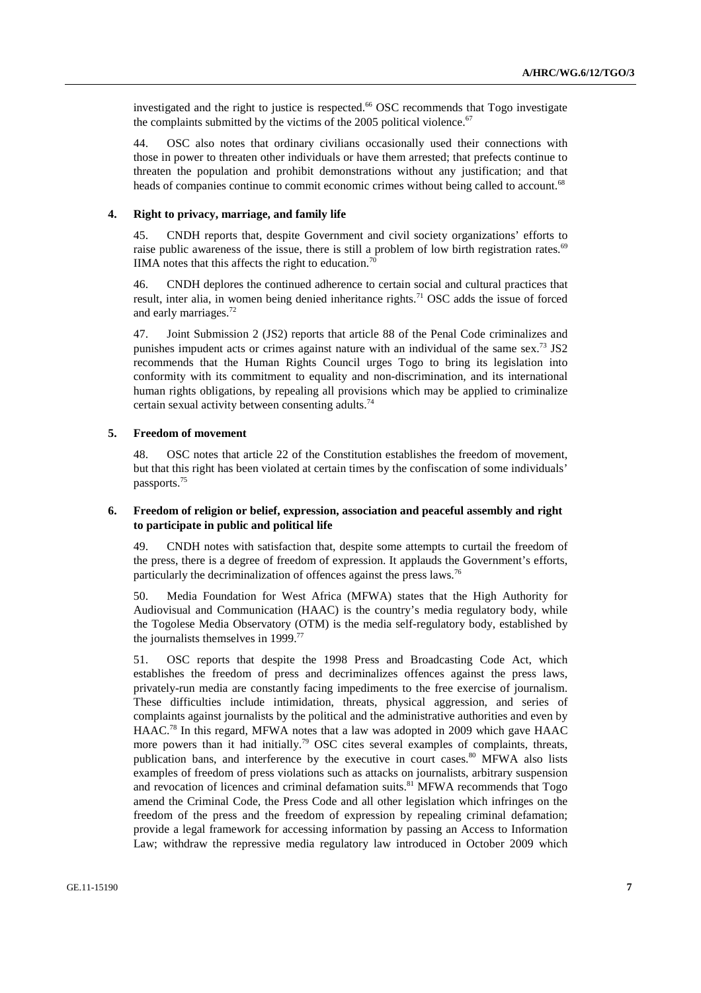investigated and the right to justice is respected.<sup>66</sup> OSC recommends that Togo investigate the complaints submitted by the victims of the 2005 political violence. $67$ 

44. OSC also notes that ordinary civilians occasionally used their connections with those in power to threaten other individuals or have them arrested; that prefects continue to threaten the population and prohibit demonstrations without any justification; and that heads of companies continue to commit economic crimes without being called to account.<sup>68</sup>

#### **4. Right to privacy, marriage, and family life**

45. CNDH reports that, despite Government and civil society organizations' efforts to raise public awareness of the issue, there is still a problem of low birth registration rates.<sup>69</sup> IIMA notes that this affects the right to education.<sup>70</sup>

46. CNDH deplores the continued adherence to certain social and cultural practices that result, inter alia, in women being denied inheritance rights.<sup>71</sup> OSC adds the issue of forced and early marriages.<sup>72</sup>

47. Joint Submission 2 (JS2) reports that article 88 of the Penal Code criminalizes and punishes impudent acts or crimes against nature with an individual of the same sex.<sup>73</sup> JS2 recommends that the Human Rights Council urges Togo to bring its legislation into conformity with its commitment to equality and non-discrimination, and its international human rights obligations, by repealing all provisions which may be applied to criminalize certain sexual activity between consenting adults.<sup>74</sup>

#### **5. Freedom of movement**

48. OSC notes that article 22 of the Constitution establishes the freedom of movement, but that this right has been violated at certain times by the confiscation of some individuals' passports.<sup>75</sup>

#### **6. Freedom of religion or belief, expression, association and peaceful assembly and right to participate in public and political life**

49. CNDH notes with satisfaction that, despite some attempts to curtail the freedom of the press, there is a degree of freedom of expression. It applauds the Government's efforts, particularly the decriminalization of offences against the press laws.<sup>76</sup>

50. Media Foundation for West Africa (MFWA) states that the High Authority for Audiovisual and Communication (HAAC) is the country's media regulatory body, while the Togolese Media Observatory (OTM) is the media self-regulatory body, established by the journalists themselves in 1999.<sup>77</sup>

51. OSC reports that despite the 1998 Press and Broadcasting Code Act, which establishes the freedom of press and decriminalizes offences against the press laws, privately-run media are constantly facing impediments to the free exercise of journalism. These difficulties include intimidation, threats, physical aggression, and series of complaints against journalists by the political and the administrative authorities and even by HAAC.<sup>78</sup> In this regard, MFWA notes that a law was adopted in 2009 which gave HAAC more powers than it had initially.<sup>79</sup> OSC cites several examples of complaints, threats, publication bans, and interference by the executive in court cases.<sup>80</sup> MFWA also lists examples of freedom of press violations such as attacks on journalists, arbitrary suspension and revocation of licences and criminal defamation suits.<sup>81</sup> MFWA recommends that Togo amend the Criminal Code, the Press Code and all other legislation which infringes on the freedom of the press and the freedom of expression by repealing criminal defamation; provide a legal framework for accessing information by passing an Access to Information Law; withdraw the repressive media regulatory law introduced in October 2009 which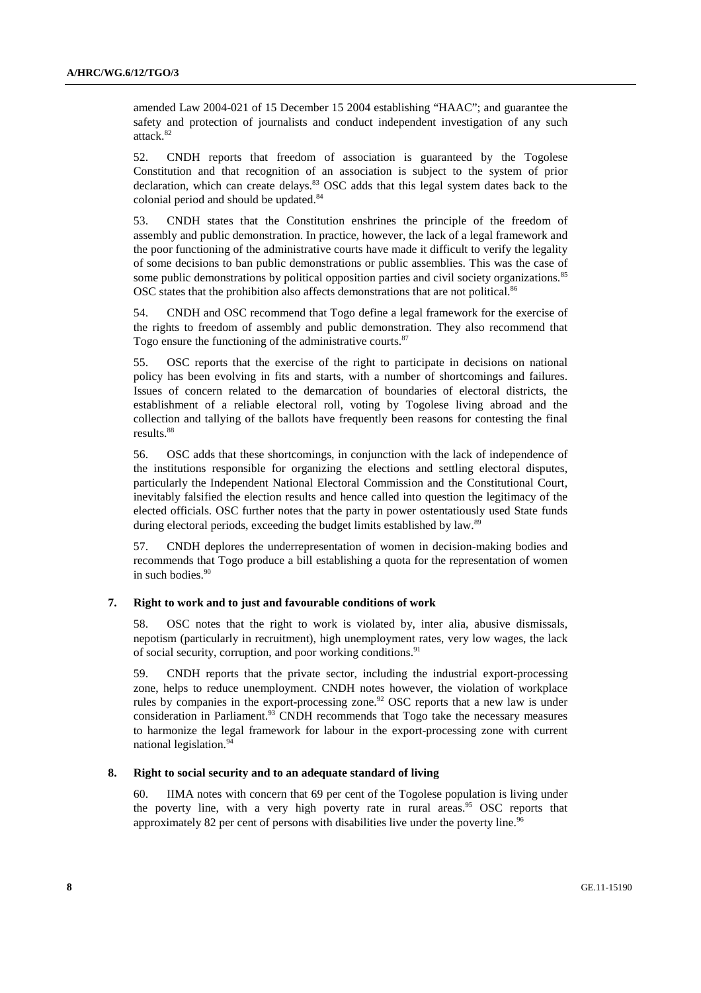amended Law 2004-021 of 15 December 15 2004 establishing "HAAC"; and guarantee the safety and protection of journalists and conduct independent investigation of any such attack.<sup>82</sup>

52. CNDH reports that freedom of association is guaranteed by the Togolese Constitution and that recognition of an association is subject to the system of prior declaration, which can create delays.<sup>83</sup> OSC adds that this legal system dates back to the colonial period and should be updated.<sup>84</sup>

53. CNDH states that the Constitution enshrines the principle of the freedom of assembly and public demonstration. In practice, however, the lack of a legal framework and the poor functioning of the administrative courts have made it difficult to verify the legality of some decisions to ban public demonstrations or public assemblies. This was the case of some public demonstrations by political opposition parties and civil society organizations.<sup>85</sup> OSC states that the prohibition also affects demonstrations that are not political.<sup>86</sup>

54. CNDH and OSC recommend that Togo define a legal framework for the exercise of the rights to freedom of assembly and public demonstration. They also recommend that Togo ensure the functioning of the administrative courts. $87$ 

55. OSC reports that the exercise of the right to participate in decisions on national policy has been evolving in fits and starts, with a number of shortcomings and failures. Issues of concern related to the demarcation of boundaries of electoral districts, the establishment of a reliable electoral roll, voting by Togolese living abroad and the collection and tallying of the ballots have frequently been reasons for contesting the final results.<sup>88</sup>

56. OSC adds that these shortcomings, in conjunction with the lack of independence of the institutions responsible for organizing the elections and settling electoral disputes, particularly the Independent National Electoral Commission and the Constitutional Court, inevitably falsified the election results and hence called into question the legitimacy of the elected officials. OSC further notes that the party in power ostentatiously used State funds during electoral periods, exceeding the budget limits established by law.<sup>89</sup>

57. CNDH deplores the underrepresentation of women in decision-making bodies and recommends that Togo produce a bill establishing a quota for the representation of women in such bodies.<sup>90</sup>

#### **7. Right to work and to just and favourable conditions of work**

58. OSC notes that the right to work is violated by, inter alia, abusive dismissals, nepotism (particularly in recruitment), high unemployment rates, very low wages, the lack of social security, corruption, and poor working conditions.<sup>91</sup>

59. CNDH reports that the private sector, including the industrial export-processing zone, helps to reduce unemployment. CNDH notes however, the violation of workplace rules by companies in the export-processing zone.<sup>92</sup> OSC reports that a new law is under consideration in Parliament.<sup>93</sup> CNDH recommends that Togo take the necessary measures to harmonize the legal framework for labour in the export-processing zone with current national legislation.<sup>94</sup>

#### **8. Right to social security and to an adequate standard of living**

60. IIMA notes with concern that 69 per cent of the Togolese population is living under the poverty line, with a very high poverty rate in rural areas.<sup>95</sup> OSC reports that approximately 82 per cent of persons with disabilities live under the poverty line.<sup>96</sup>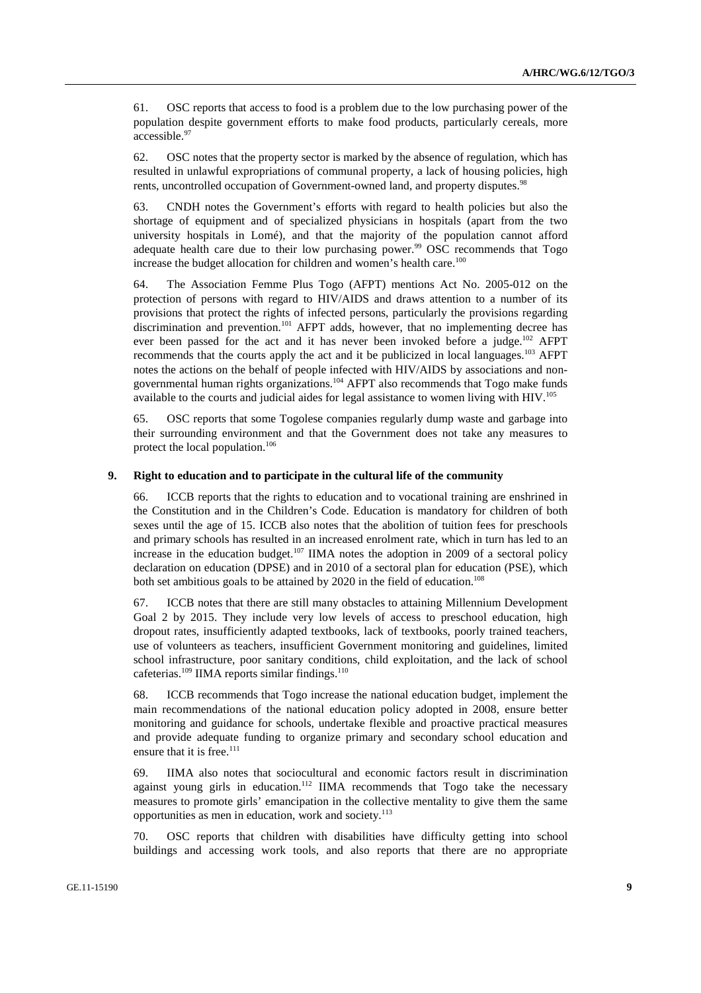61. OSC reports that access to food is a problem due to the low purchasing power of the population despite government efforts to make food products, particularly cereals, more accessible.<sup>97</sup>

62. OSC notes that the property sector is marked by the absence of regulation, which has resulted in unlawful expropriations of communal property, a lack of housing policies, high rents, uncontrolled occupation of Government-owned land, and property disputes.<sup>98</sup>

63. CNDH notes the Government's efforts with regard to health policies but also the shortage of equipment and of specialized physicians in hospitals (apart from the two university hospitals in Lomé), and that the majority of the population cannot afford adequate health care due to their low purchasing power. $99$  OSC recommends that Togo increase the budget allocation for children and women's health care.<sup>100</sup>

64. The Association Femme Plus Togo (AFPT) mentions Act No. 2005-012 on the protection of persons with regard to HIV/AIDS and draws attention to a number of its provisions that protect the rights of infected persons, particularly the provisions regarding discrimination and prevention.<sup>101</sup> AFPT adds, however, that no implementing decree has ever been passed for the act and it has never been invoked before a judge.<sup>102</sup> AFPT recommends that the courts apply the act and it be publicized in local languages.<sup>103</sup> AFPT notes the actions on the behalf of people infected with HIV/AIDS by associations and nongovernmental human rights organizations.<sup>104</sup> AFPT also recommends that Togo make funds available to the courts and judicial aides for legal assistance to women living with HIV.<sup>105</sup>

65. OSC reports that some Togolese companies regularly dump waste and garbage into their surrounding environment and that the Government does not take any measures to protect the local population.<sup>106</sup>

#### **9. Right to education and to participate in the cultural life of the community**

66. ICCB reports that the rights to education and to vocational training are enshrined in the Constitution and in the Children's Code. Education is mandatory for children of both sexes until the age of 15. ICCB also notes that the abolition of tuition fees for preschools and primary schools has resulted in an increased enrolment rate, which in turn has led to an increase in the education budget.<sup>107</sup> IIMA notes the adoption in 2009 of a sectoral policy declaration on education (DPSE) and in 2010 of a sectoral plan for education (PSE), which both set ambitious goals to be attained by 2020 in the field of education.<sup>108</sup>

67. ICCB notes that there are still many obstacles to attaining Millennium Development Goal 2 by 2015. They include very low levels of access to preschool education, high dropout rates, insufficiently adapted textbooks, lack of textbooks, poorly trained teachers, use of volunteers as teachers, insufficient Government monitoring and guidelines, limited school infrastructure, poor sanitary conditions, child exploitation, and the lack of school cafeterias.<sup>109</sup> IIMA reports similar findings.<sup>110</sup>

68. ICCB recommends that Togo increase the national education budget, implement the main recommendations of the national education policy adopted in 2008, ensure better monitoring and guidance for schools, undertake flexible and proactive practical measures and provide adequate funding to organize primary and secondary school education and ensure that it is free.<sup>111</sup>

69. IIMA also notes that sociocultural and economic factors result in discrimination against young girls in education.<sup>112</sup> IIMA recommends that Togo take the necessary measures to promote girls' emancipation in the collective mentality to give them the same opportunities as men in education, work and society. 113

70. OSC reports that children with disabilities have difficulty getting into school buildings and accessing work tools, and also reports that there are no appropriate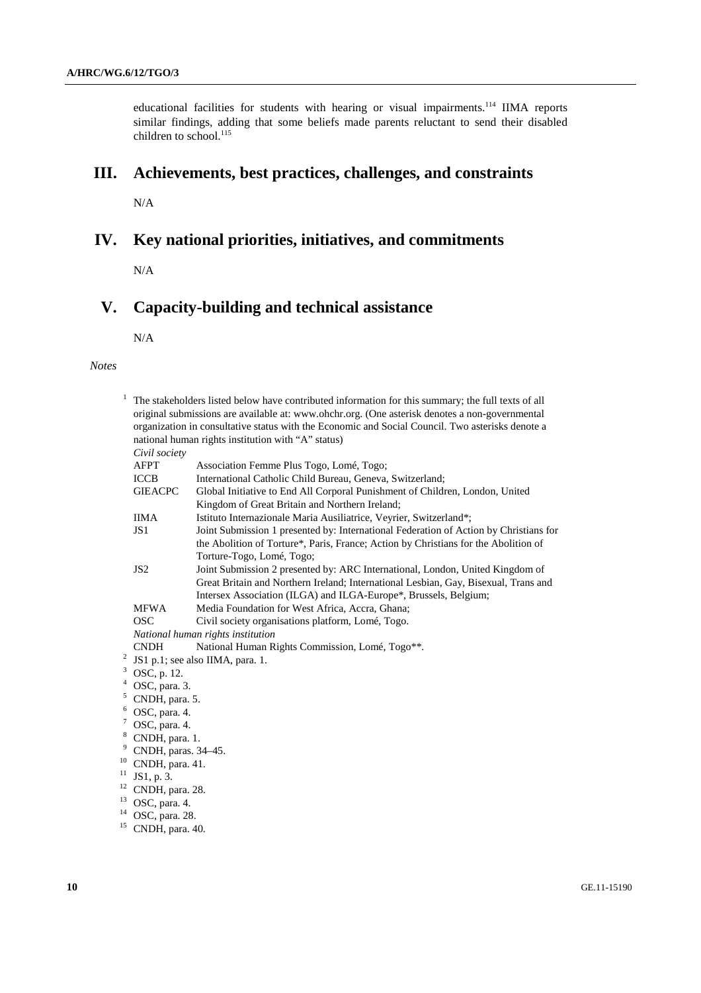educational facilities for students with hearing or visual impairments.<sup>114</sup> IIMA reports similar findings, adding that some beliefs made parents reluctant to send their disabled children to school. $^{115}$ 

## **III. Achievements, best practices, challenges, and constraints**

 $N/A$ 

## **IV. Key national priorities, initiatives, and commitments**

N/A

# **V. Capacity-building and technical assistance**

N/A

#### *Notes*

|        |                                                                                                                                                        | The stakeholders listed below have contributed information for this summary; the full texts of all<br>original submissions are available at: www.ohchr.org. (One asterisk denotes a non-governmental |  |
|--------|--------------------------------------------------------------------------------------------------------------------------------------------------------|------------------------------------------------------------------------------------------------------------------------------------------------------------------------------------------------------|--|
|        | organization in consultative status with the Economic and Social Council. Two asterisks denote a<br>national human rights institution with "A" status) |                                                                                                                                                                                                      |  |
|        | Civil society                                                                                                                                          |                                                                                                                                                                                                      |  |
|        | <b>AFPT</b>                                                                                                                                            | Association Femme Plus Togo, Lomé, Togo;                                                                                                                                                             |  |
|        | <b>ICCB</b>                                                                                                                                            | International Catholic Child Bureau, Geneva, Switzerland;                                                                                                                                            |  |
|        | <b>GIEACPC</b>                                                                                                                                         | Global Initiative to End All Corporal Punishment of Children, London, United                                                                                                                         |  |
|        |                                                                                                                                                        | Kingdom of Great Britain and Northern Ireland;                                                                                                                                                       |  |
|        | <b>IIMA</b>                                                                                                                                            | Istituto Internazionale Maria Ausiliatrice, Veyrier, Switzerland*;                                                                                                                                   |  |
|        | JS <sub>1</sub>                                                                                                                                        | Joint Submission 1 presented by: International Federation of Action by Christians for                                                                                                                |  |
|        |                                                                                                                                                        | the Abolition of Torture*, Paris, France; Action by Christians for the Abolition of                                                                                                                  |  |
|        |                                                                                                                                                        | Torture-Togo, Lomé, Togo;                                                                                                                                                                            |  |
|        | JS <sub>2</sub>                                                                                                                                        | Joint Submission 2 presented by: ARC International, London, United Kingdom of                                                                                                                        |  |
|        |                                                                                                                                                        | Great Britain and Northern Ireland; International Lesbian, Gay, Bisexual, Trans and                                                                                                                  |  |
|        |                                                                                                                                                        | Intersex Association (ILGA) and ILGA-Europe*, Brussels, Belgium;                                                                                                                                     |  |
|        | <b>MFWA</b>                                                                                                                                            | Media Foundation for West Africa, Accra, Ghana;                                                                                                                                                      |  |
|        | <b>OSC</b>                                                                                                                                             | Civil society organisations platform, Lomé, Togo.                                                                                                                                                    |  |
|        | National human rights institution                                                                                                                      |                                                                                                                                                                                                      |  |
|        | <b>CNDH</b>                                                                                                                                            | National Human Rights Commission, Lomé, Togo**.                                                                                                                                                      |  |
|        | $2$ JS1 p.1; see also IIMA, para. 1.                                                                                                                   |                                                                                                                                                                                                      |  |
| 4      | $3$ OSC, p. 12.                                                                                                                                        |                                                                                                                                                                                                      |  |
|        | OSC, para. 3.                                                                                                                                          |                                                                                                                                                                                                      |  |
| 5<br>6 | CNDH, para. 5.                                                                                                                                         |                                                                                                                                                                                                      |  |
|        | OSC, para. 4.                                                                                                                                          |                                                                                                                                                                                                      |  |
|        | $7$ OSC, para. 4.                                                                                                                                      |                                                                                                                                                                                                      |  |
|        | <sup>8</sup> CNDH, para. 1.<br>9                                                                                                                       |                                                                                                                                                                                                      |  |
|        | CNDH, paras. 34-45.<br>10                                                                                                                              |                                                                                                                                                                                                      |  |
| 11     | CNDH, para. 41.<br>JS1, p. 3.                                                                                                                          |                                                                                                                                                                                                      |  |
|        | $12$ CNDH, para. 28.                                                                                                                                   |                                                                                                                                                                                                      |  |
| 13     | OSC, para. 4.                                                                                                                                          |                                                                                                                                                                                                      |  |
| 14     | OSC, para. 28.                                                                                                                                         |                                                                                                                                                                                                      |  |
|        |                                                                                                                                                        |                                                                                                                                                                                                      |  |

 $15$  CNDH, para. 40.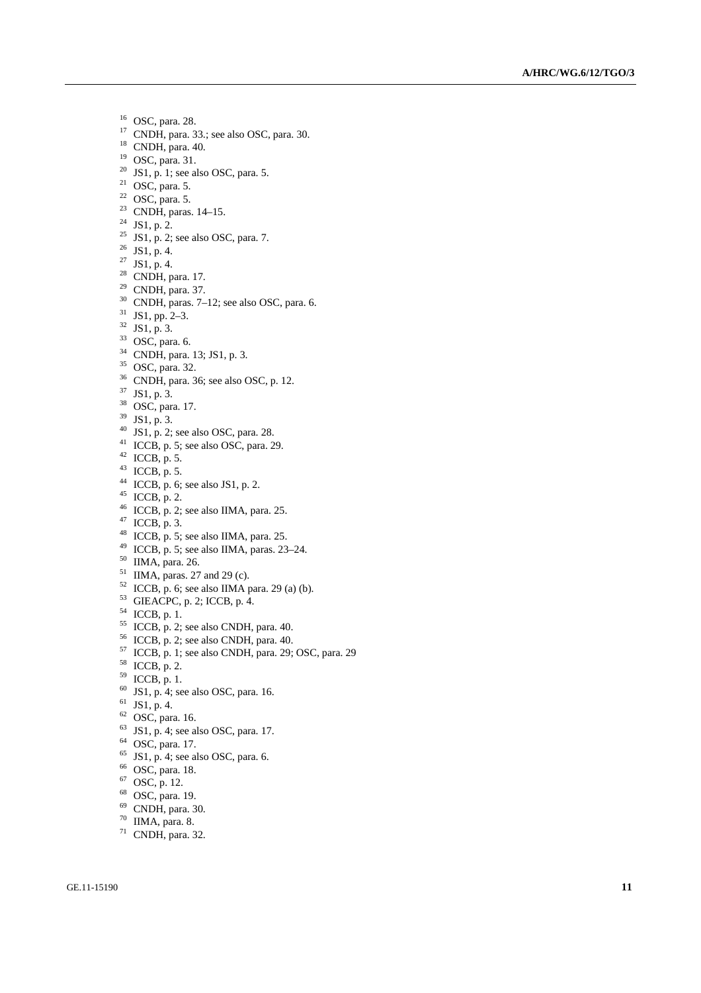- OSC, para. 28.
- CNDH, para. 33.; see also OSC, para. 30.
- CNDH, para. 40.
- OSC, para. 31.
- $^{20}$  JS1, p. 1; see also OSC, para. 5.
- $21 \overline{OSC}$ , para. 5.
- OSC, para. 5.
- CNDH, paras. 14–15.
- JS1, p. 2.
- <sup>25</sup> JS1, p. 2; see also OSC, para. 7.
- JS1, p. 4.
- JS1, p. 4.
- <sup>28</sup> CNDH, para. 17.
- CNDH, para. 37.
- CNDH, paras. 7–12; see also OSC, para. 6.
- JS1, pp. 2–3.
- JS1, p. 3.
- OSC, para. 6.
- CNDH, para. 13; JS1, p. 3.
- OSC, para. 32.
- CNDH, para. 36; see also OSC, p. 12.
- JS1, p. 3.
- OSC, para. 17.
- JS1, p. 3.
- $^{40}$  JS1, p. 2; see also OSC, para. 28.
- <sup>41</sup> ICCB, p. 5; see also OSC, para. 29.
- ICCB, p. 5.
- $^{43}$  ICCB, p. 5.
- $^{44}$  ICCB, p. 6; see also JS1, p. 2.
- ICCB, p. 2.
- $^{46}$  ICCB, p. 2; see also IIMA, para. 25.
- ICCB, p. 3.
- $^{48}$  ICCB, p. 5; see also IIMA, para. 25.
- $^{49}$  ICCB, p. 5; see also IIMA, paras. 23–24.
- IIMA, para. 26.
- IIMA, paras. 27 and 29 (c).
- ICCB, p. 6; see also IIMA para. 29 (a) (b).
- GIEACPC, p. 2; ICCB, p. 4.
- ICCB, p. 1.
- ICCB, p. 2; see also CNDH, para. 40.
- ICCB, p. 2; see also CNDH, para. 40.
- ICCB, p. 1; see also CNDH, para. 29; OSC, para. 29
- ICCB, p. 2.
- ICCB, p. 1.
- JS1, p. 4; see also OSC, para. 16.
- JS1, p. 4.
- OSC, para. 16.
- JS1, p. 4; see also OSC, para. 17.
- OSC, para. 17.
- JS1, p. 4; see also OSC, para. 6.
- OSC, para. 18.
- OSC, p. 12.
- OSC, para. 19.
- 
- CNDH, para. 30.
- IIMA, para. 8.
- CNDH, para. 32.